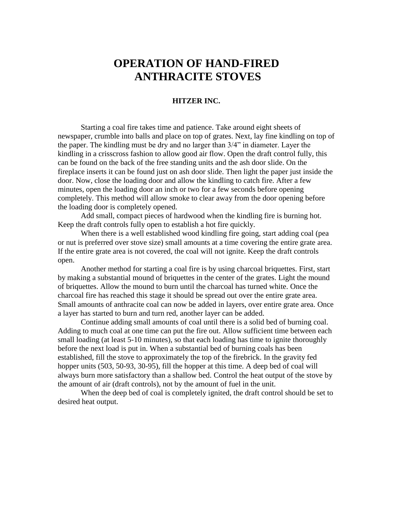# **OPERATION OF HAND-FIRED ANTHRACITE STOVES**

## **HITZER INC.**

Starting a coal fire takes time and patience. Take around eight sheets of newspaper, crumble into balls and place on top of grates. Next, lay fine kindling on top of the paper. The kindling must be dry and no larger than 3/4" in diameter. Layer the kindling in a crisscross fashion to allow good air flow. Open the draft control fully, this can be found on the back of the free standing units and the ash door slide. On the fireplace inserts it can be found just on ash door slide. Then light the paper just inside the door. Now, close the loading door and allow the kindling to catch fire. After a few minutes, open the loading door an inch or two for a few seconds before opening completely. This method will allow smoke to clear away from the door opening before the loading door is completely opened.

Add small, compact pieces of hardwood when the kindling fire is burning hot. Keep the draft controls fully open to establish a hot fire quickly.

When there is a well established wood kindling fire going, start adding coal (pea or nut is preferred over stove size) small amounts at a time covering the entire grate area. If the entire grate area is not covered, the coal will not ignite. Keep the draft controls open.

Another method for starting a coal fire is by using charcoal briquettes. First, start by making a substantial mound of briquettes in the center of the grates. Light the mound of briquettes. Allow the mound to burn until the charcoal has turned white. Once the charcoal fire has reached this stage it should be spread out over the entire grate area. Small amounts of anthracite coal can now be added in layers, over entire grate area. Once a layer has started to burn and turn red, another layer can be added.

Continue adding small amounts of coal until there is a solid bed of burning coal. Adding to much coal at one time can put the fire out. Allow sufficient time between each small loading (at least 5-10 minutes), so that each loading has time to ignite thoroughly before the next load is put in. When a substantial bed of burning coals has been established, fill the stove to approximately the top of the firebrick. In the gravity fed hopper units (503, 50-93, 30-95), fill the hopper at this time. A deep bed of coal will always burn more satisfactory than a shallow bed. Control the heat output of the stove by the amount of air (draft controls), not by the amount of fuel in the unit.

When the deep bed of coal is completely ignited, the draft control should be set to desired heat output.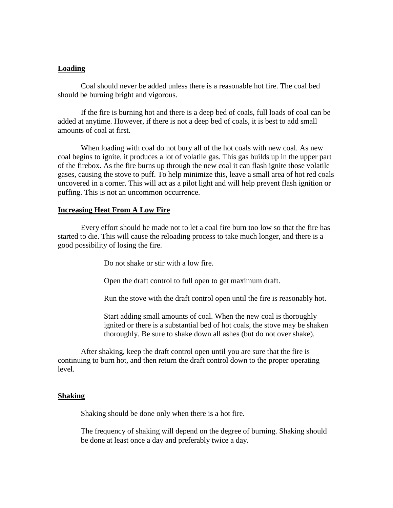## **Loading**

Coal should never be added unless there is a reasonable hot fire. The coal bed should be burning bright and vigorous.

If the fire is burning hot and there is a deep bed of coals, full loads of coal can be added at anytime. However, if there is not a deep bed of coals, it is best to add small amounts of coal at first.

When loading with coal do not bury all of the hot coals with new coal. As new coal begins to ignite, it produces a lot of volatile gas. This gas builds up in the upper part of the firebox. As the fire burns up through the new coal it can flash ignite those volatile gases, causing the stove to puff. To help minimize this, leave a small area of hot red coals uncovered in a corner. This will act as a pilot light and will help prevent flash ignition or puffing. This is not an uncommon occurrence.

#### **Increasing Heat From A Low Fire**

Every effort should be made not to let a coal fire burn too low so that the fire has started to die. This will cause the reloading process to take much longer, and there is a good possibility of losing the fire.

Do not shake or stir with a low fire.

Open the draft control to full open to get maximum draft.

Run the stove with the draft control open until the fire is reasonably hot.

Start adding small amounts of coal. When the new coal is thoroughly ignited or there is a substantial bed of hot coals, the stove may be shaken thoroughly. Be sure to shake down all ashes (but do not over shake).

After shaking, keep the draft control open until you are sure that the fire is continuing to burn hot, and then return the draft control down to the proper operating level.

#### **Shaking**

Shaking should be done only when there is a hot fire.

The frequency of shaking will depend on the degree of burning. Shaking should be done at least once a day and preferably twice a day.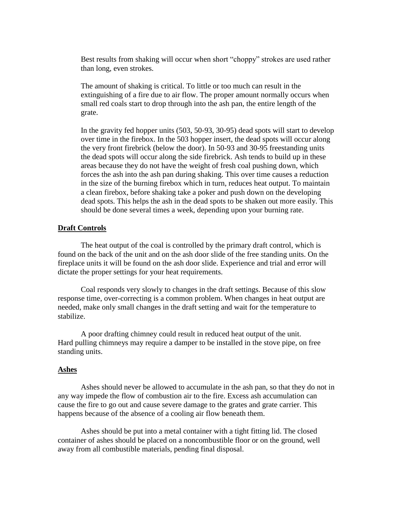Best results from shaking will occur when short "choppy" strokes are used rather than long, even strokes.

The amount of shaking is critical. To little or too much can result in the extinguishing of a fire due to air flow. The proper amount normally occurs when small red coals start to drop through into the ash pan, the entire length of the grate.

In the gravity fed hopper units (503, 50-93, 30-95) dead spots will start to develop over time in the firebox. In the 503 hopper insert, the dead spots will occur along the very front firebrick (below the door). In 50-93 and 30-95 freestanding units the dead spots will occur along the side firebrick. Ash tends to build up in these areas because they do not have the weight of fresh coal pushing down, which forces the ash into the ash pan during shaking. This over time causes a reduction in the size of the burning firebox which in turn, reduces heat output. To maintain a clean firebox, before shaking take a poker and push down on the developing dead spots. This helps the ash in the dead spots to be shaken out more easily. This should be done several times a week, depending upon your burning rate.

#### **Draft Controls**

The heat output of the coal is controlled by the primary draft control, which is found on the back of the unit and on the ash door slide of the free standing units. On the fireplace units it will be found on the ash door slide. Experience and trial and error will dictate the proper settings for your heat requirements.

Coal responds very slowly to changes in the draft settings. Because of this slow response time, over-correcting is a common problem. When changes in heat output are needed, make only small changes in the draft setting and wait for the temperature to stabilize.

A poor drafting chimney could result in reduced heat output of the unit. Hard pulling chimneys may require a damper to be installed in the stove pipe, on free standing units.

#### **Ashes**

Ashes should never be allowed to accumulate in the ash pan, so that they do not in any way impede the flow of combustion air to the fire. Excess ash accumulation can cause the fire to go out and cause severe damage to the grates and grate carrier. This happens because of the absence of a cooling air flow beneath them.

Ashes should be put into a metal container with a tight fitting lid. The closed container of ashes should be placed on a noncombustible floor or on the ground, well away from all combustible materials, pending final disposal.